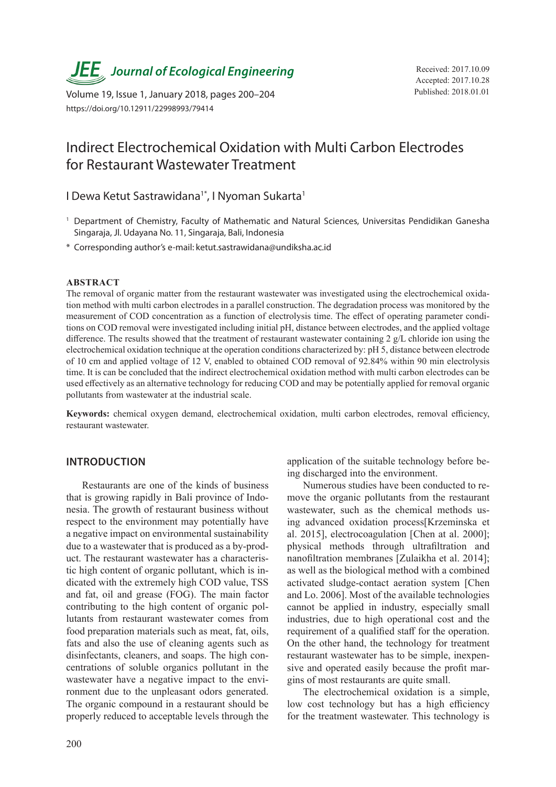*JEE* Journal of Ecological Engineering Received: 2017.10.09

Published: 2018.01.01 Volume 19, Issue 1, January 2018, pages 200–204 https://doi.org/10.12911/22998993/79414

# Indirect Electrochemical Oxidation with Multi Carbon Electrodes for Restaurant Wastewater Treatment

I Dewa Ketut Sastrawidana<sup>1\*</sup>, I Nyoman Sukarta<sup>1</sup>

- <sup>1</sup> Department of Chemistry, Faculty of Mathematic and Natural Sciences, Universitas Pendidikan Ganesha Singaraja, Jl. Udayana No. 11, Singaraja, Bali, Indonesia
- \* Corresponding author's e-mail: ketut.sastrawidana@undiksha.ac.id

## **ABSTRACT**

The removal of organic matter from the restaurant wastewater was investigated using the electrochemical oxidation method with multi carbon electrodes in a parallel construction. The degradation process was monitored by the measurement of COD concentration as a function of electrolysis time. The effect of operating parameter conditions on COD removal were investigated including initial pH, distance between electrodes, and the applied voltage difference. The results showed that the treatment of restaurant wastewater containing 2 g/L chloride ion using the electrochemical oxidation technique at the operation conditions characterized by: pH 5, distance between electrode of 10 cm and applied voltage of 12 V, enabled to obtained COD removal of 92.84% within 90 min electrolysis time. It is can be concluded that the indirect electrochemical oxidation method with multi carbon electrodes can be used effectively as an alternative technology for reducing COD and may be potentially applied for removal organic pollutants from wastewater at the industrial scale.

**Keywords:** chemical oxygen demand, electrochemical oxidation, multi carbon electrodes, removal efficiency, restaurant wastewater.

# **INTRODUCTION**

Restaurants are one of the kinds of business that is growing rapidly in Bali province of Indonesia. The growth of restaurant business without respect to the environment may potentially have a negative impact on environmental sustainability due to a wastewater that is produced as a by-product. The restaurant wastewater has a characteristic high content of organic pollutant, which is indicated with the extremely high COD value, TSS and fat, oil and grease (FOG). The main factor contributing to the high content of organic pollutants from restaurant wastewater comes from food preparation materials such as meat, fat, oils, fats and also the use of cleaning agents such as disinfectants, cleaners, and soaps. The high concentrations of soluble organics pollutant in the wastewater have a negative impact to the environment due to the unpleasant odors generated. The organic compound in a restaurant should be properly reduced to acceptable levels through the

application of the suitable technology before being discharged into the environment.

Numerous studies have been conducted to remove the organic pollutants from the restaurant wastewater, such as the chemical methods using advanced oxidation process[Krzeminska et al. 2015], electrocoagulation [Chen at al. 2000]; physical methods through ultrafiltration and nanofiltration membranes [Zulaikha et al. 2014]; as well as the biological method with a combined activated sludge-contact aeration system [Chen and Lo. 2006]. Most of the available technologies cannot be applied in industry, especially small industries, due to high operational cost and the requirement of a qualified staff for the operation. On the other hand, the technology for treatment restaurant wastewater has to be simple, inexpensive and operated easily because the profit margins of most restaurants are quite small.

The electrochemical oxidation is a simple, low cost technology but has a high efficiency for the treatment wastewater. This technology is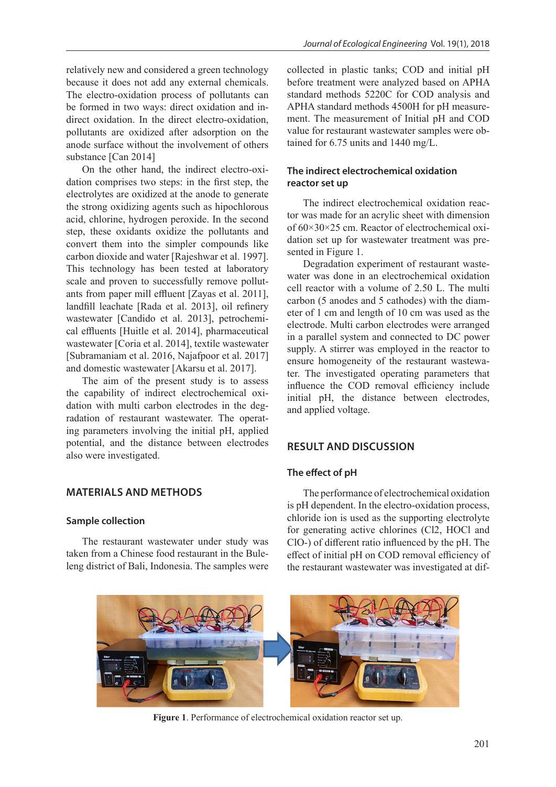relatively new and considered a green technology because it does not add any external chemicals. The electro-oxidation process of pollutants can be formed in two ways: direct oxidation and indirect oxidation. In the direct electro-oxidation, pollutants are oxidized after adsorption on the anode surface without the involvement of others substance [Can 2014]

On the other hand, the indirect electro-oxidation comprises two steps: in the first step, the electrolytes are oxidized at the anode to generate the strong oxidizing agents such as hipochlorous acid, chlorine, hydrogen peroxide. In the second step, these oxidants oxidize the pollutants and convert them into the simpler compounds like carbon dioxide and water [Rajeshwar et al. 1997]. This technology has been tested at laboratory scale and proven to successfully remove pollutants from paper mill effluent [Zayas et al. 2011], landfill leachate [Rada et al. 2013], oil refinery wastewater [Candido et al. 2013], petrochemical effluents [Huitle et al. 2014], pharmaceutical wastewater [Coria et al. 2014], textile wastewater [Subramaniam et al. 2016, Najafpoor et al. 2017] and domestic wastewater [Akarsu et al. 2017].

The aim of the present study is to assess the capability of indirect electrochemical oxidation with multi carbon electrodes in the degradation of restaurant wastewater. The operating parameters involving the initial pH, applied potential, and the distance between electrodes also were investigated.

## **MATERIALS AND METHODS**

## **Sample collection**

The restaurant wastewater under study was taken from a Chinese food restaurant in the Buleleng district of Bali, Indonesia. The samples were collected in plastic tanks; COD and initial pH before treatment were analyzed based on APHA standard methods 5220C for COD analysis and APHA standard methods 4500H for pH measurement. The measurement of Initial pH and COD value for restaurant wastewater samples were obtained for 6.75 units and 1440 mg/L.

# **The indirect electrochemical oxidation reactor set up**

The indirect electrochemical oxidation reactor was made for an acrylic sheet with dimension of 60×30×25 cm. Reactor of electrochemical oxidation set up for wastewater treatment was presented in Figure 1.

Degradation experiment of restaurant wastewater was done in an electrochemical oxidation cell reactor with a volume of 2.50 L. The multi carbon (5 anodes and 5 cathodes) with the diameter of 1 cm and length of 10 cm was used as the electrode. Multi carbon electrodes were arranged in a parallel system and connected to DC power supply. A stirrer was employed in the reactor to ensure homogeneity of the restaurant wastewater. The investigated operating parameters that influence the COD removal efficiency include initial pH, the distance between electrodes, and applied voltage.

# **RESULT AND DISCUSSION**

#### **The effect of pH**

The performance of electrochemical oxidation is pH dependent. In the electro-oxidation process, chloride ion is used as the supporting electrolyte for generating active chlorines (Cl2, HOCl and ClO-) of different ratio influenced by the pH. The effect of initial pH on COD removal efficiency of the restaurant wastewater was investigated at dif-



**Figure 1**. Performance of electrochemical oxidation reactor set up.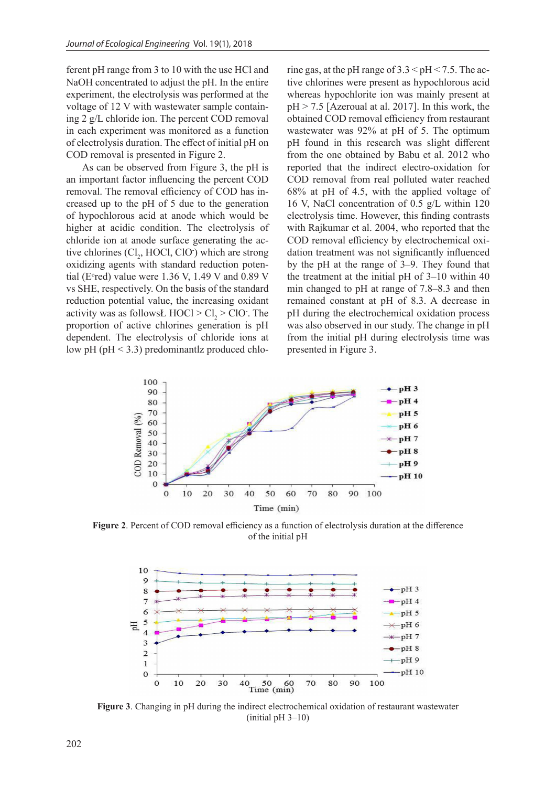ferent pH range from 3 to 10 with the use HCl and NaOH concentrated to adjust the pH. In the entire experiment, the electrolysis was performed at the voltage of 12 V with wastewater sample containing 2 g/L chloride ion. The percent COD removal in each experiment was monitored as a function of electrolysis duration. The effect of initial pH on COD removal is presented in Figure 2.

As can be observed from Figure 3, the pH is an important factor influencing the percent COD removal. The removal efficiency of COD has increased up to the pH of 5 due to the generation of hypochlorous acid at anode which would be higher at acidic condition. The electrolysis of chloride ion at anode surface generating the active chlorines  $(Cl_2, HOCl, ClO^{\dagger})$  which are strong oxidizing agents with standard reduction potential (E<sup>o</sup>red) value were 1.36 V, 1.49 V and 0.89 V vs SHE, respectively. On the basis of the standard reduction potential value, the increasing oxidant activity was as follows  $\text{HOC1} > \text{Cl}_2 > \text{ClO}$ . The proportion of active chlorines generation is pH dependent. The electrolysis of chloride ions at low pH (pH < 3.3) predominantlz produced chlorine gas, at the pH range of  $3.3 \leq pH \leq 7.5$ . The active chlorines were present as hypochlorous acid whereas hypochlorite ion was mainly present at  $pH > 7.5$  [Azeroual at al. 2017]. In this work, the obtained COD removal efficiency from restaurant wastewater was 92% at pH of 5. The optimum pH found in this research was slight different from the one obtained by Babu et al. 2012 who reported that the indirect electro-oxidation for COD removal from real polluted water reached 68% at pH of 4.5, with the applied voltage of 16 V, NaCl concentration of 0.5 g/L within 120 electrolysis time. However, this finding contrasts with Rajkumar et al. 2004, who reported that the COD removal efficiency by electrochemical oxidation treatment was not significantly influenced by the pH at the range of 3–9. They found that the treatment at the initial pH of 3–10 within 40 min changed to pH at range of 7.8–8.3 and then remained constant at pH of 8.3. A decrease in pH during the electrochemical oxidation process was also observed in our study. The change in pH from the initial pH during electrolysis time was presented in Figure 3.



**Figure 2**. Percent of COD removal efficiency as a function of electrolysis duration at the difference of the initial pH



**Figure 3**. Changing in pH during the indirect electrochemical oxidation of restaurant wastewater (initial pH 3–10)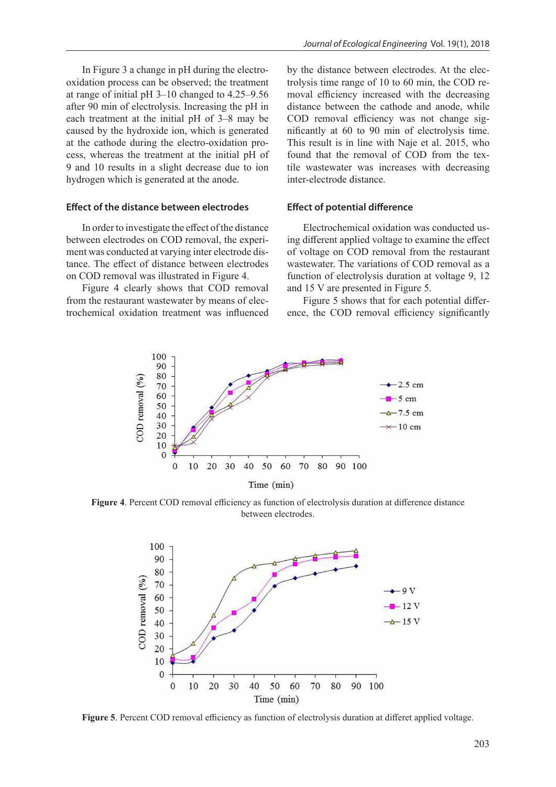In Figure 3 a change in pH during the electrooxidation process can be observed; the treatment at range of initial pH 3–10 changed to 4.25–9.56 after 90 min of electrolysis. Increasing the pH in each treatment at the initial pH of 3–8 may be caused by the hydroxide ion, which is generated at the cathode during the electro-oxidation process, whereas the treatment at the initial pH of 9 and 10 results in a slight decrease due to ion hydrogen which is generated at the anode.

## **Effect of the distance between electrodes**

In order to investigate the effect of the distance between electrodes on COD removal, the experiment was conducted at varying inter electrode distance. The effect of distance between electrodes on COD removal was illustrated in Figure 4.

Figure 4 clearly shows that COD removal from the restaurant wastewater by means of electrochemical oxidation treatment was influenced

by the distance between electrodes. At the electrolysis time range of 10 to 60 min, the COD removal efficiency increased with the decreasing distance between the cathode and anode, while COD removal efficiency was not change significantly at 60 to 90 min of electrolysis time. This result is in line with Naje et al. 2015, who found that the removal of COD from the textile wastewater was increases with decreasing inter-electrode distance.

## **Effect of potential difference**

Electrochemical oxidation was conducted using different applied voltage to examine the effect of voltage on COD removal from the restaurant wastewater. The variations of COD removal as a function of electrolysis duration at voltage 9, 12 and 15 V are presented in Figure 5.

Figure 5 shows that for each potential difference, the COD removal efficiency significantly



**Figure 4**. Percent COD removal efficiency as function of electrolysis duration at difference distance between electrodes.



**Figure 5**. Percent COD removal efficiency as function of electrolysis duration at differet applied voltage.